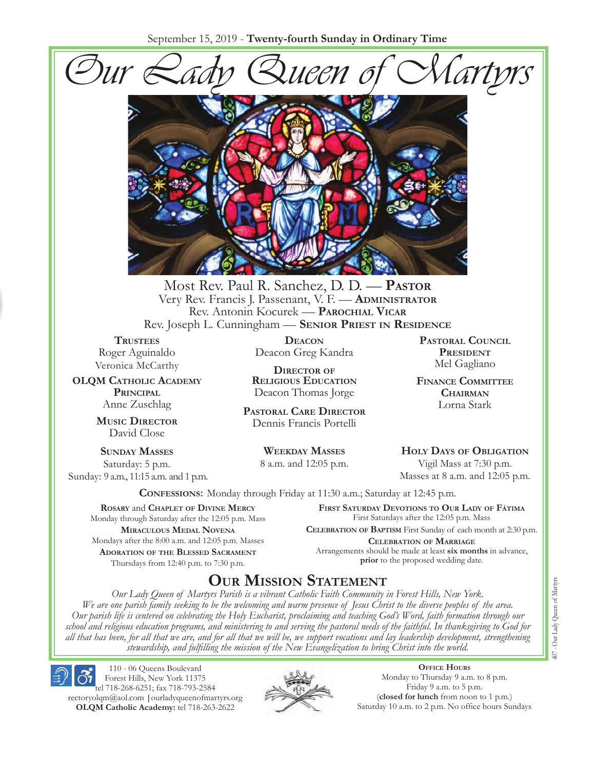September 15, 2019 - **Twenty-fourth Sunday in Ordinary Time**





Most Rev. Paul R. Sanchez, D. D. — **PASTOR** Very Rev. Francis J. Passenant, V. F. — **ADMINISTRATOR** Rev. Antonin Kocurek — **PAROCHIAL VICAR** Rev. Joseph L. Cunningham — **SENIOR PRIEST IN RESIDENCE**

**TRUSTEES** Roger Aguinaldo Veronica McCarthy

**OLQM CATHOLIC ACADEMY PRINCIPAL**  Anne Zuschlag

> **MUSIC DIRECTOR** David Close

**SUNDAY MASSES** Saturday: 5 p.m. Sunday: 9 a.m., 11:15 a.m. and 1 p.m.

> **ROSARY** and **CHAPLET OF DIVINE MERCY** Monday through Saturday after the 12:05 p.m. Mass **MIRACULOUS MEDAL NOVENA** Mondays after the 8:00 a.m. and 12:05 p.m. Masses **ADORATION OF THE BLESSED SACRAMENT** Thursdays from 12:40 p.m. to 7:30 p.m.

**DEACON** Deacon Greg Kandra

**DIRECTOR OF RELIGIOUS EDUCATION** Deacon Thomas Jorge

**PASTORAL CARE DIRECTOR** Dennis Francis Portelli

> **WEEKDAY MASSES** 8 a.m. and 12:05 p.m.

**PASTORAL COUNCIL PRESIDENT** Mel Gagliano

**FINANCE COMMITTEE CHAIRMAN** Lorna Stark

**HOLY DAYS OF OBLIGATION** Vigil Mass at 7:30 p.m.

Masses at 8 a.m. and 12:05 p.m.

**CONFESSIONS:** Monday through Friday at 11:30 a.m.; Saturday at 12:45 p.m.

**FIRST SATURDAY DEVOTIONS TO OUR LADY OF FÁTIMA** First Saturdays after the 12:05 p.m. Mass

**CELEBRATION OF BAPTISM** First Sunday of each month at 2:30 p.m. **CELEBRATION OF MARRIAGE**  Arrangements should be made at least **six months** in advance, **prior** to the proposed wedding date.

# **OUR MISSION STATEMENT**

*Our Lady Queen of Martyrs Parish is a vibrant Catholic Faith Community in Forest Hills, New York. We are one parish family seeking to be the welcoming and warm presence of Jesus Christ to the diverse peoples of the area. Our parish life is centered on celebrating the Holy Eucharist, proclaiming and teaching God's Word, faith formation through our school and religious education programs, and ministering to and serving the pastoral needs of the faithful. In thanksgiving to God for all that has been, for all that we are, and for all that we will be, we support vocations and lay leadership development, strengthening stewardship, and fulfilling the mission of the New Evangelization to bring Christ into the world.* 

Forest Hills, New York 11375 tel 718-268-6251; fax 718-793-2584 rectoryolqm@aol.com **|**ourladyqueenofmartyrs.org **OLQM Catholic Academy:** tel 718-263-2622

110 - 06 Queens Boulevard



**OFFICE HOURS** Monday to Thursday 9 a.m. to 8 p.m. Friday 9 a.m. to 5 p.m. (**closed for lunch** from noon to 1 p.m.) Saturday 10 a.m. to 2 p.m. No office hours Sundays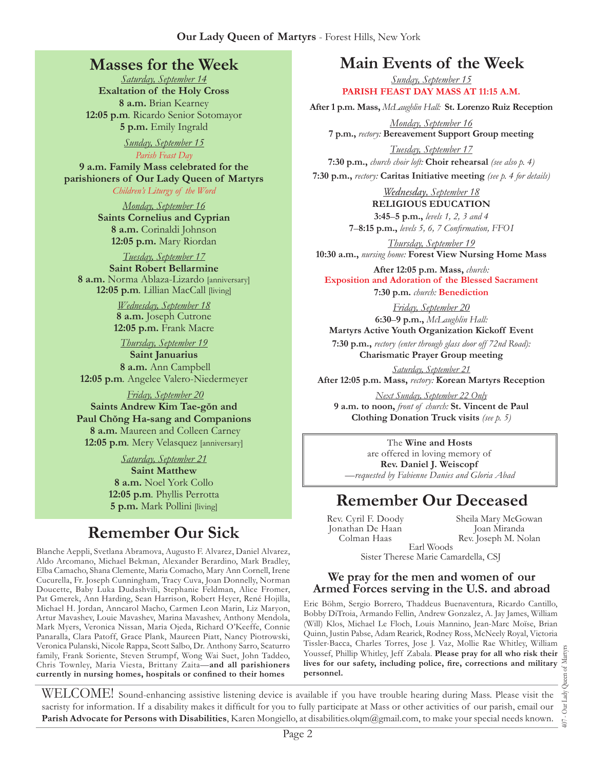## **Masses for the Week**

*Saturday, September 14*  **Exaltation of the Holy Cross 8 a.m.** Brian Kearney **12:05 p.m***.* Ricardo Senior Sotomayor **5 p.m.** Emily Ingrald

> *Sunday, September 15 Parish Feast Day*

**9 a.m. Family Mass celebrated for the parishioners of Our Lady Queen of Martyrs**

*Children's Liturgy of the Word* 

*Monday, September 16*  **Saints Cornelius and Cyprian 8 a.m.** Corinaldi Johnson **12:05 p.m.** Mary Riordan

#### *Tuesday, September 17*

**Saint Robert Bellarmine 8 a.m.** Norma Ablaza-Lizardo [anniversary] **12:05 p.m***.* Lillian MacCall [living]

> *Wednesday, September 18*  **8 a.m.** Joseph Cutrone **12:05 p.m.** Frank Macre

*Thursday, September 19* **Saint Januarius 8 a.m.** Ann Campbell **12:05 p.m***.* Angelee Valero-Niedermeyer

*Friday, September 20*  **Saints Andrew Kim Tae-g'nn and Paul Ch'nng Ha-sang and Companions 8 a.m.** Maureen and Colleen Carney **12:05 p.m***.* Mery Velasquez [anniversary]

> *Saturday, September 21*  **Saint Matthew 8 a.m.** Noel York Collo **12:05 p.m***.* Phyllis Perrotta **5 p.m.** Mark Pollini [living]

# **Remember Our Sick**

Blanche Aeppli, Svetlana Abramova, Augusto F. Alvarez, Daniel Alvarez, Aldo Arcomano, Michael Bekman, Alexander Berardino, Mark Bradley, Elba Camacho, Shana Clemente, Maria Comacho, Mary Ann Cornell, Irene Cucurella, Fr. Joseph Cunningham, Tracy Cuva, Joan Donnelly, Norman Doucette, Baby Luka Dudashvili, Stephanie Feldman, Alice Fromer, Pat Gmerek, Ann Harding, Sean Harrison, Robert Heyer, René Hojilla, Michael H. Jordan, Anncarol Macho, Carmen Leon Marin, Liz Maryon, Artur Mavashev, Louie Mavashev, Marina Mavashev, Anthony Mendola, Mark Myers, Veronica Nissan, Maria Ojeda, Richard O'Keeffe, Connie Panaralla, Clara Patoff, Grace Plank, Maureen Piatt, Nancy Piotrowski, Veronica Pulanski, Nicole Rappa, Scott Salbo, Dr. Anthony Sarro, Scaturro family, Frank Soriente, Steven Strumpf, Wong Wai Suet, John Taddeo, Chris Townley, Maria Viesta, Brittany Zaita—**and all parishioners**  currently in nursing homes, hospitals or confined to their homes

# **Main Events of the Week**

*Sunday, September 15* **PARISH FEAST DAY MASS AT 11:15 A.M.**

**After 1 p.m. Mass,** *McLaughlin Hall:* **St. Lorenzo Ruiz Reception**

*Monday, September 16*  **7 p.m.,** *rectory:* **Bereavement Support Group meeting**

*Tuesday, September 17*  **7:30 p.m.,** *church choir loft:* **Choir rehearsal** *(see also p. 4)*

**7:30 p.m.,** *rectory:* **Caritas Initiative meeting** *(see p. 4 for details)*

*Wednesday, September 18*  **RELIGIOUS EDUCATION** 

**3:45**–**5 p.m.,** *levels 1, 2, 3 and 4*  **7–8:15 p.m.,** levels 5, 6, 7 Confirmation, FFOI

*Thursday, September 19*  **10:30 a.m.,** *nursing home:* **Forest View Nursing Home Mass** 

**After 12:05 p.m. Mass,** *church:*  **Exposition and Adoration of the Blessed Sacrament 7:30 p.m.** *church:* **Benediction** 

*Friday, September 20* **6:30**–**9 p.m.,** *McLaughlin Hall:* **Martyrs Active Youth Organization Kickoff Event**

**7:30 p.m.,** *rectory (enter through glass door off 72nd Road):* **Charismatic Prayer Group meeting**

*Saturday, September 21*

**After 12:05 p.m. Mass,** *rectory:* **Korean Martyrs Reception**

*Next Sunday, September 22 Only* **9 a.m. to noon,** *front of church:* **St. Vincent de Paul Clothing Donation Truck visits** *(see p. 5)* 

The **Wine and Hosts** are offered in loving memory of **Rev. Daniel J. Weiscopf** *—requested by Fabienne Danies and Gloria Abad*

# **Remember Our Deceased**

Rev. Cyril F. Doody Jonathan De Haan Colman Haas Sister Therese Marie Camardella, CSJ

Sheila Mary McGowan Joan Miranda Rev. Joseph M. Nolan Earl Woods

#### **We pray for the men and women of our Armed Forces serving in the U.S. and abroad**

Eric Böhm, Sergio Borrero, Thaddeus Buenaventura, Ricardo Cantillo, Bobby DiTroia, Armando Fellin, Andrew Gonzalez, A. Jay James, William (Will) Klos, Michael Le Floch, Louis Mannino, Jean-Marc Moïse, Brian Quinn, Justin Pabse, Adam Rearick, Rodney Ross, McNeely Royal, Victoria Tissler-Bacca, Charles Torres, Jose J. Vaz, Mollie Rae Whitley, William Youssef, Phillip Whitley, Jeff Zabala. **Please pray for all who risk their**  lives for our safety, including police, fire, corrections and military **personnel.**

WELCOME! Sound-enhancing assistive listening device is available if you have trouble hearing during Mass. Please visit the sacristy for information. If a disability makes it difficult for you to fully participate at Mass or other activities of our parish, email our **Parish Advocate for Persons with Disabilities**, Karen Mongiello, at disabilities.olqm@gmail.com, to make your special needs known.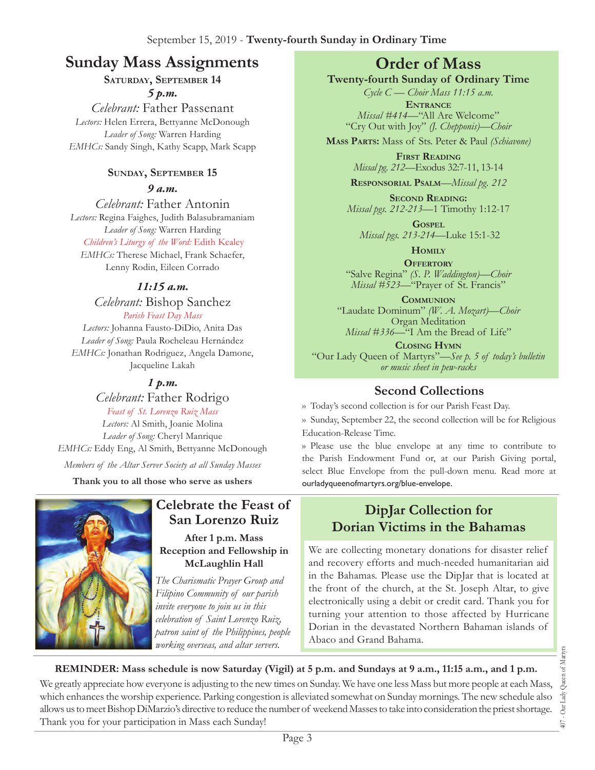# **Sunday Mass Assignments Order of Mass**

### **SATURDAY, SEPTEMBER 14**  *5 p.m.*

*Celebrant:* Father Passenant *Lectors:* Helen Errera, Bettyanne McDonough *Leader of Song:* Warren Harding *EMHCs:* Sandy Singh, Kathy Scapp, Mark Scapp

### **SUNDAY, SEPTEMBER 15**

*9 a.m.* 

*Celebrant:* Father Antonin *Lectors:* Regina Faighes, Judith Balasubramaniam *Leader of Song:* Warren Harding *Children's Liturgy of the Word:* Edith Kealey *EMHCs:* Therese Michael, Frank Schaefer,

Lenny Rodin, Eileen Corrado

### *11:15 a.m.*

*Celebrant:* Bishop Sanchez *Parish Feast Day Mass Lectors:* Johanna Fausto-DiDio, Anita Das *Leader of Song:* Paula Rocheleau Hernández *EMHCs:* Jonathan Rodriguez, Angela Damone, Jacqueline Lakah

*1 p.m.* 

# *Celebrant:* Father Rodrigo

*Feast of St. Lorenzo Ruiz Mass Lectors:* Al Smith, Joanie Molina *Leader of Song:* Cheryl Manrique *EMHCs:* Eddy Eng, Al Smith, Bettyanne McDonough *Members of the Altar Server Society at all Sunday Masses*

**Thank you to all those who serve as ushers**



# **Celebrate the Feast of San Lorenzo Ruiz**

**After 1 p.m. Mass Reception and Fellowship in McLaughlin Hall**

*The Charismatic Prayer Group and Filipino Community of our parish invite everyone to join us in this celebration of Saint Lorenzo Ruiz, patron saint of the Philippines, people working overseas, and altar servers.*

**Twenty-fourth Sunday of Ordinary Time** 

*Cycle C — Choir Mass 11:15 a.m.* **ENTRANCE** *Missal #414—*"All Are Welcome" "Cry Out with Joy" *(J. Chepponis)—Choir* 

**MASS PARTS:** Mass of Sts. Peter & Paul *(Schiavone)*

**FIRST READING**  *Missal pg. 212—*Exodus 32:7-11, 13-14

**RESPONSORIAL PSALM**—*Missal pg. 212*

**SECOND READING:**  *Missal pgs. 212-213—*1 Timothy 1:12-17

**GOSPEL** *Missal pgs. 213-214—*Luke 15:1-32

> **HOMILY OFFERTORY**

"Salve Regina" *(S. P. Waddington)—Choir Missal #523—*"Prayer of St. Francis"

**COMMUNION** "Laudate Dominum" *(W. A. Mozart)—Choir*  Organ Meditation *Missal #336—*"I Am the Bread of Life"

**CLOSING HYMN** "Our Lady Queen of Martyrs"—*See p. 5 of today's bulletin or music sheet in pew-racks*

# **Second Collections**

›› Today's second collection is for our Parish Feast Day.

›› Sunday, September 22, the second collection will be for Religious Education-Release Time.

›› Please use the blue envelope at any time to contribute to the Parish Endowment Fund or, at our Parish Giving portal, select Blue Envelope from the pull-down menu. Read more at ourladyqueenofmartyrs.org/blue-envelope.

# **DipJar Collection for Dorian Victims in the Bahamas**

We are collecting monetary donations for disaster relief and recovery efforts and much-needed humanitarian aid in the Bahamas. Please use the DipJar that is located at the front of the church, at the St. Joseph Altar, to give electronically using a debit or credit card. Thank you for turning your attention to those affected by Hurricane Dorian in the devastated Northern Bahaman islands of Abaco and Grand Bahama.

**REMINDER: Mass schedule is now Saturday (Vigil) at 5 p.m. and Sundays at 9 a.m., 11:15 a.m., and 1 p.m.**

We greatly appreciate how everyone is adjusting to the new times on Sunday. We have one less Mass but more people at each Mass, which enhances the worship experience. Parking congestion is alleviated somewhat on Sunday mornings. The new schedule also allows us to meet Bishop DiMarzio's directive to reduce the number of weekend Masses to take into consideration the priest shortage. Thank you for your participation in Mass each Sunday!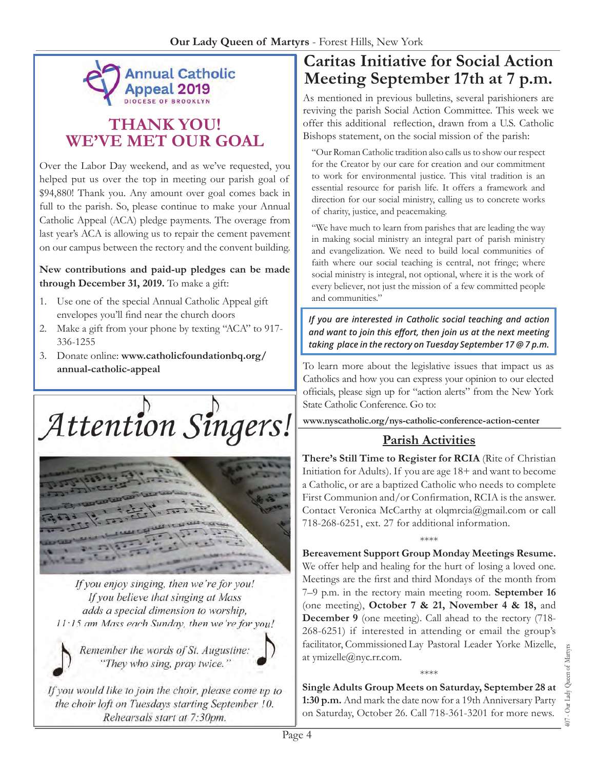

# **THANK YOU! WE'VE MET OUR GOAL**

Over the Labor Day weekend, and as we've requested, you helped put us over the top in meeting our parish goal of \$94,880! Thank you. Any amount over goal comes back in full to the parish. So, please continue to make your Annual Catholic Appeal (ACA) pledge payments. The overage from last year's ACA is allowing us to repair the cement pavement on our campus between the rectory and the convent building.

**New contributions and paid-up pledges can be made through December 31, 2019.** To make a gift:

- 1. Use one of the special Annual Catholic Appeal gift envelopes you'll find near the church doors
- 2. Make a gift from your phone by texting "ACA" to 917- 336-1255
- 3. Donate online: **www.catholicfoundationbq.org/ annual-catholic-appeal**

Attention Singers!



If you enjoy singing, then we're for you! If you believe that singing at Mass adds a special dimension to worship, 11:15 am Mass each Sunday, then we're for you!



Remember the words of St. Augustine: "They who sing, pray twice."

If you would like to join the choir, please come up to the choir loft on Tuesdays starting September 10. Rehearsals start at 7:30pm.

# **Caritas Initiative for Social Action Meeting September 17th at 7 p.m.**

As mentioned in previous bulletins, several parishioners are reviving the parish Social Action Committee. This week we offer this additional reflection, drawn from a U.S. Catholic Bishops statement, on the social mission of the parish:

"Our Roman Catholic tradition also calls us to show our respect for the Creator by our care for creation and our commitment to work for environmental justice. This vital tradition is an essential resource for parish life. It offers a framework and direction for our social ministry, calling us to concrete works of charity, justice, and peacemaking.

"We have much to learn from parishes that are leading the way in making social ministry an integral part of parish ministry and evangelization. We need to build local communities of faith where our social teaching is central, not fringe; where social ministry is integral, not optional, where it is the work of every believer, not just the mission of a few committed people and communities."

*If you are interested in Catholic social teaching and action*  and want to join this effort, then join us at the next meeting taking place in the rectory on Tuesday September 17 @ 7 p.m.

To learn more about the legislative issues that impact us as Catholics and how you can express your opinion to our elected officials, please sign up for "action alerts" from the New York State Catholic Conference. Go to:

**www.nyscatholic.org/nys-catholic-conference-action-center**

# **Parish Activities**

**There's Still Time to Register for RCIA** (Rite of Christian Initiation for Adults). If you are age 18+ and want to become a Catholic, or are a baptized Catholic who needs to complete First Communion and/or Confirmation, RCIA is the answer. Contact Veronica McCarthy at olqmrcia@gmail.com or call 718-268-6251, ext. 27 for additional information.

#### \*\*\*\*

**Bereavement Support Group Monday Meetings Resume.** We offer help and healing for the hurt of losing a loved one. Meetings are the first and third Mondays of the month from 7–9 p.m. in the rectory main meeting room. **September 16** (one meeting), **October 7 & 21, November 4 & 18,** and **December 9** (one meeting). Call ahead to the rectory (718- 268-6251) if interested in attending or email the group's facilitator, Commissioned Lay Pastoral Leader Yorke Mizelle, at ymizelle@nyc.rr.com.

\*\*\*\* **Single Adults Group Meets on Saturday, September 28 at 1:30 p.m.** And mark the date now for a 19th Anniversary Party on Saturday, October 26. Call 718-361-3201 for more news.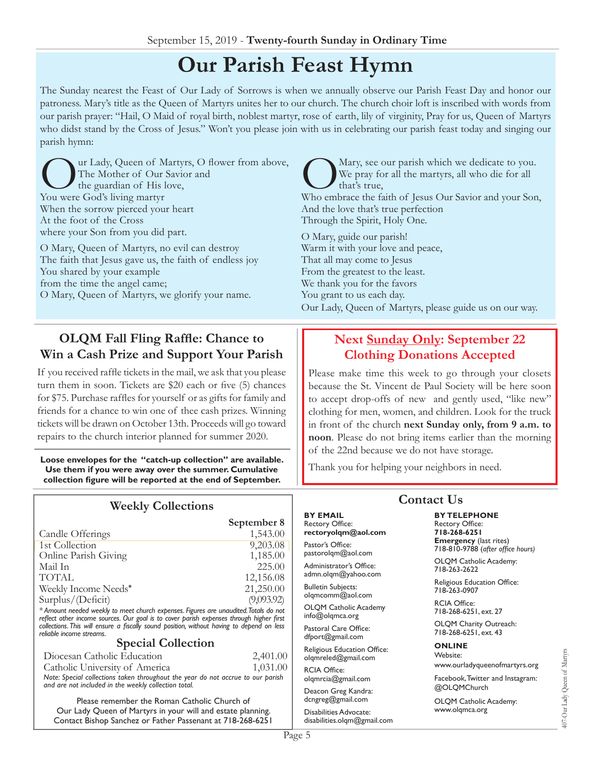# **Our Parish Feast Hymn**

The Sunday nearest the Feast of Our Lady of Sorrows is when we annually observe our Parish Feast Day and honor our patroness. Mary's title as the Queen of Martyrs unites her to our church. The church choir loft is inscribed with words from our parish prayer: "Hail, O Maid of royal birth, noblest martyr, rose of earth, lily of virginity, Pray for us, Queen of Martyrs who didst stand by the Cross of Jesus." Won't you please join with us in celebrating our parish feast today and singing our parish hymn:

ur Lady, Queen of Martyrs, O flower from above, The Mother of Our Savior and the guardian of His love, You were God's living martyr When the sorrow pierced your heart At the foot of the Cross where your Son from you did part.

O Mary, Queen of Martyrs, no evil can destroy The faith that Jesus gave us, the faith of endless joy You shared by your example from the time the angel came; O Mary, Queen of Martyrs, we glorify your name.

**2DDOM** Fall Fling Raffle: Chance to **Win a Cash Prize and Support Your Parish**

If you received raffle tickets in the mail, we ask that you please turn them in soon. Tickets are \$20 each or five  $(5)$  chances for \$75. Purchase raffles for yourself or as gifts for family and friends for a chance to win one of thee cash prizes. Winning tickets will be drawn on October 13th. Proceeds will go toward repairs to the church interior planned for summer 2020.

**Loose envelopes for the "catch-up collection" are available. Use them if you were away over the summer. Cumulative**  collection figure will be reported at the end of September.

### **Weekly Collections**

|                                                                                     | September 8 |
|-------------------------------------------------------------------------------------|-------------|
| Candle Offerings                                                                    | 1,543.00    |
| 1st Collection                                                                      | 9,203.08    |
| Online Parish Giving                                                                | 1,185.00    |
| Mail In                                                                             | 225.00      |
| <b>TOTAL</b>                                                                        | 12,156.08   |
| Weekly Income Needs*                                                                | 21,250.00   |
| Surplus/(Deficit)                                                                   | (9,093.92)  |
| * Amount needed weekly to meet church expenses Figures are unquidited Totals do not |             |

mount needed weekly to meet church expenses. Figures are una reflect other income sources. Our goal is to cover parish expenses through higher first collections. This will ensure a fiscally sound position, without having to depend on less reliable income streams.

#### **Special Collection**

Diocesan Catholic Education 2,401.00 Catholic University of America 1,031.00 Note: Special collections taken throughout the year do not accrue to our parish

and are not included in the weekly collection total.

Please remember the Roman Catholic Church of Our Lady Queen of Martyrs in your will and estate planning. Contact Bishop Sanchez or Father Passenant at 718-268-6251

Mary, see our parish which we dedicate to you.<br>
We pray for all the martyrs, all who die for all<br>
Who embrace the faith of Jesus Our Savior and your Son, We pray for all the martyrs, all who die for all that's true, And the love that's true perfection Through the Spirit, Holy One.

O Mary, guide our parish! Warm it with your love and peace, That all may come to Jesus From the greatest to the least. We thank you for the favors You grant to us each day. Our Lady, Queen of Martyrs, please guide us on our way.

### **Next Sunday Only: September 22 Clothing Donations Accepted**

Please make time this week to go through your closets because the St. Vincent de Paul Society will be here soon to accept drop-offs of new and gently used, "like new" clothing for men, women, and children. Look for the truck in front of the church **next Sunday only, from 9 a.m. to noon**. Please do not bring items earlier than the morning of the 22nd because we do not have storage.

Thank you for helping your neighbors in need.

### **Contact Us**

#### **BY EMAIL** Rectory Office: **rectoryolqm@aol.com**

Pastor's Office: pastorolqm@aol.com

Administrator's Office: admn.olqm@yahoo.com

**Bulletin Subjects:** olqmcomm@aol.com

OLQM Catholic Academy info@olqmca.org

Pastoral Care Office: dfport@gmail.com

Religious Education Office: olqmreled@gmail.com

RCIA Office: olqmrcia@gmail.com

Deacon Greg Kandra: dcngreg@gmail.com

Disabilities Advocate: disabilities.olqm@gmail.com

**BY TELEPHONE** Rectory Office: **718-268-6251**

**Emergency** (last rites) 718-810-9788 (after office hours)

OLQM Catholic Academy: 718-263-2622

Religious Education Office: 718-263-0907

RCIA Office: 718-268-6251, ext. 27

OLQM Charity Outreach: 718-268-6251, ext. 43

**ONLINE** Website: www.ourladyqueenofmartyrs.org

Facebook, Twitter and Instagram: @OLQMChurch

OLQM Catholic Academy: www.olqmca.org